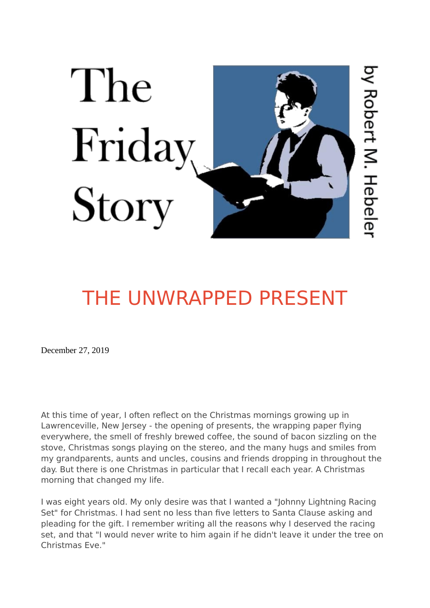

## [THE UNWRAPPED PRESENT](https://www.thefridaystory.com/stories/the-unwrapped-present-christmas)

December 27, 2019

At this time of year, I often reflect on the Christmas mornings growing up in Lawrenceville, New Jersey - the opening of presents, the wrapping paper flying everywhere, the smell of freshly brewed coffee, the sound of bacon sizzling on the stove, Christmas songs playing on the stereo, and the many hugs and smiles from my grandparents, aunts and uncles, cousins and friends dropping in throughout the day. But there is one Christmas in particular that I recall each year. A Christmas morning that changed my life.

I was eight years old. My only desire was that I wanted a "Johnny Lightning Racing Set" for Christmas. I had sent no less than five letters to Santa Clause asking and pleading for the gift. I remember writing all the reasons why I deserved the racing set, and that "I would never write to him again if he didn't leave it under the tree on Christmas Eve."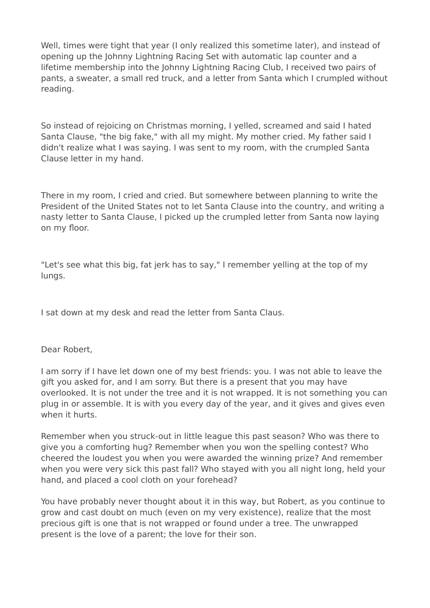Well, times were tight that year (I only realized this sometime later), and instead of opening up the Johnny Lightning Racing Set with automatic lap counter and a lifetime membership into the Johnny Lightning Racing Club, I received two pairs of pants, a sweater, a small red truck, and a letter from Santa which I crumpled without reading.

So instead of rejoicing on Christmas morning, I yelled, screamed and said I hated Santa Clause, "the big fake," with all my might. My mother cried. My father said I didn't realize what I was saying. I was sent to my room, with the crumpled Santa Clause letter in my hand.

There in my room, I cried and cried. But somewhere between planning to write the President of the United States not to let Santa Clause into the country, and writing a nasty letter to Santa Clause, I picked up the crumpled letter from Santa now laying on my floor.

"Let's see what this big, fat jerk has to say," I remember yelling at the top of my lungs.

I sat down at my desk and read the letter from Santa Claus.

Dear Robert,

I am sorry if I have let down one of my best friends: you. I was not able to leave the gift you asked for, and I am sorry. But there is a present that you may have overlooked. It is not under the tree and it is not wrapped. It is not something you can plug in or assemble. It is with you every day of the year, and it gives and gives even when it hurts

Remember when you struck-out in little league this past season? Who was there to give you a comforting hug? Remember when you won the spelling contest? Who cheered the loudest you when you were awarded the winning prize? And remember when you were very sick this past fall? Who stayed with you all night long, held your hand, and placed a cool cloth on your forehead?

You have probably never thought about it in this way, but Robert, as you continue to grow and cast doubt on much (even on my very existence), realize that the most precious gift is one that is not wrapped or found under a tree. The unwrapped present is the love of a parent; the love for their son.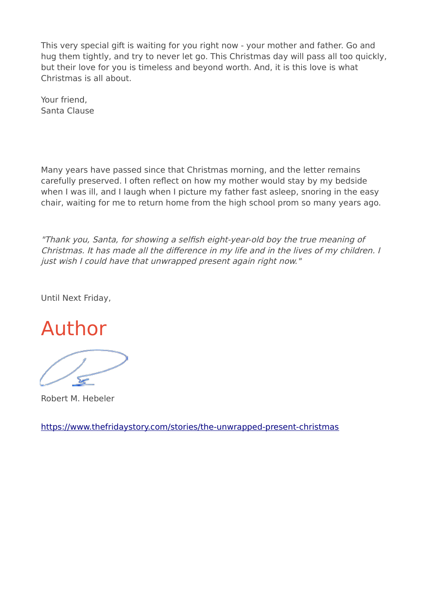This very special gift is waiting for you right now - your mother and father. Go and hug them tightly, and try to never let go. This Christmas day will pass all too quickly, but their love for you is timeless and beyond worth. And, it is this love is what Christmas is all about.

Your friend, Santa Clause

Many years have passed since that Christmas morning, and the letter remains carefully preserved. I often reflect on how my mother would stay by my bedside when I was ill, and I laugh when I picture my father fast asleep, snoring in the easy chair, waiting for me to return home from the high school prom so many years ago.

"Thank you, Santa, for showing a selfish eight-year-old boy the true meaning of Christmas. It has made all the difference in my life and in the lives of my children. I just wish I could have that unwrapped present again right now."

Until Next Friday,

Author

Robert M. Hebeler

<https://www.thefridaystory.com/stories/the-unwrapped-present-christmas>